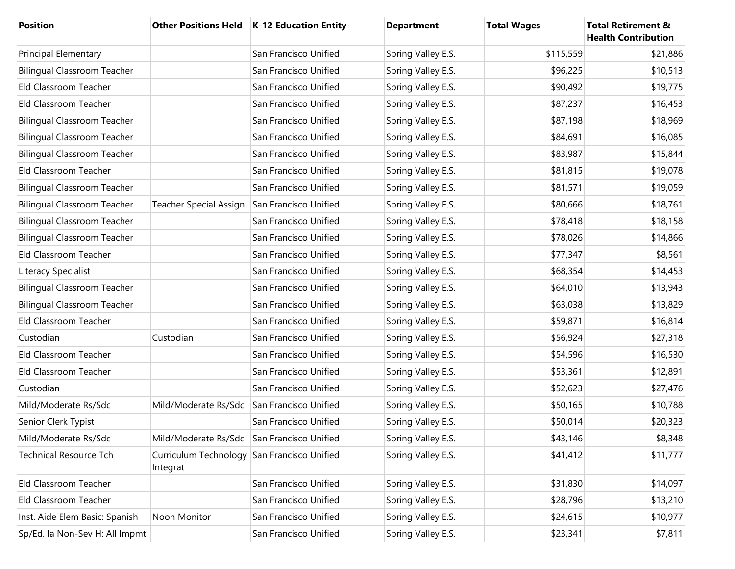| <b>Position</b>                    |                                                         | Other Positions Held   K-12 Education Entity | <b>Department</b>  | <b>Total Wages</b> | <b>Total Retirement &amp;</b><br><b>Health Contribution</b> |
|------------------------------------|---------------------------------------------------------|----------------------------------------------|--------------------|--------------------|-------------------------------------------------------------|
| Principal Elementary               |                                                         | San Francisco Unified                        | Spring Valley E.S. | \$115,559          | \$21,886                                                    |
| <b>Bilingual Classroom Teacher</b> |                                                         | San Francisco Unified                        | Spring Valley E.S. | \$96,225           | \$10,513                                                    |
| Eld Classroom Teacher              |                                                         | San Francisco Unified                        | Spring Valley E.S. | \$90,492           | \$19,775                                                    |
| Eld Classroom Teacher              |                                                         | San Francisco Unified                        | Spring Valley E.S. | \$87,237           | \$16,453                                                    |
| <b>Bilingual Classroom Teacher</b> |                                                         | San Francisco Unified                        | Spring Valley E.S. | \$87,198           | \$18,969                                                    |
| <b>Bilingual Classroom Teacher</b> |                                                         | San Francisco Unified                        | Spring Valley E.S. | \$84,691           | \$16,085                                                    |
| <b>Bilingual Classroom Teacher</b> |                                                         | San Francisco Unified                        | Spring Valley E.S. | \$83,987           | \$15,844                                                    |
| Eld Classroom Teacher              |                                                         | San Francisco Unified                        | Spring Valley E.S. | \$81,815           | \$19,078                                                    |
| <b>Bilingual Classroom Teacher</b> |                                                         | San Francisco Unified                        | Spring Valley E.S. | \$81,571           | \$19,059                                                    |
| <b>Bilingual Classroom Teacher</b> | Teacher Special Assign                                  | San Francisco Unified                        | Spring Valley E.S. | \$80,666           | \$18,761                                                    |
| <b>Bilingual Classroom Teacher</b> |                                                         | San Francisco Unified                        | Spring Valley E.S. | \$78,418           | \$18,158                                                    |
| <b>Bilingual Classroom Teacher</b> |                                                         | San Francisco Unified                        | Spring Valley E.S. | \$78,026           | \$14,866                                                    |
| Eld Classroom Teacher              |                                                         | San Francisco Unified                        | Spring Valley E.S. | \$77,347           | \$8,561                                                     |
| Literacy Specialist                |                                                         | San Francisco Unified                        | Spring Valley E.S. | \$68,354           | \$14,453                                                    |
| <b>Bilingual Classroom Teacher</b> |                                                         | San Francisco Unified                        | Spring Valley E.S. | \$64,010           | \$13,943                                                    |
| <b>Bilingual Classroom Teacher</b> |                                                         | San Francisco Unified                        | Spring Valley E.S. | \$63,038           | \$13,829                                                    |
| Eld Classroom Teacher              |                                                         | San Francisco Unified                        | Spring Valley E.S. | \$59,871           | \$16,814                                                    |
| Custodian                          | Custodian                                               | San Francisco Unified                        | Spring Valley E.S. | \$56,924           | \$27,318                                                    |
| Eld Classroom Teacher              |                                                         | San Francisco Unified                        | Spring Valley E.S. | \$54,596           | \$16,530                                                    |
| Eld Classroom Teacher              |                                                         | San Francisco Unified                        | Spring Valley E.S. | \$53,361           | \$12,891                                                    |
| Custodian                          |                                                         | San Francisco Unified                        | Spring Valley E.S. | \$52,623           | \$27,476                                                    |
| Mild/Moderate Rs/Sdc               | Mild/Moderate Rs/Sdc                                    | San Francisco Unified                        | Spring Valley E.S. | \$50,165           | \$10,788                                                    |
| Senior Clerk Typist                |                                                         | San Francisco Unified                        | Spring Valley E.S. | \$50,014           | \$20,323                                                    |
| Mild/Moderate Rs/Sdc               | Mild/Moderate Rs/Sdc San Francisco Unified              |                                              | Spring Valley E.S. | \$43,146           | \$8,348                                                     |
| <b>Technical Resource Tch</b>      | Curriculum Technology San Francisco Unified<br>Integrat |                                              | Spring Valley E.S. | \$41,412           | \$11,777                                                    |
| Eld Classroom Teacher              |                                                         | San Francisco Unified                        | Spring Valley E.S. | \$31,830           | \$14,097                                                    |
| Eld Classroom Teacher              |                                                         | San Francisco Unified                        | Spring Valley E.S. | \$28,796           | \$13,210                                                    |
| Inst. Aide Elem Basic: Spanish     | Noon Monitor                                            | San Francisco Unified                        | Spring Valley E.S. | \$24,615           | \$10,977                                                    |
| Sp/Ed. la Non-Sev H: All Impmt     |                                                         | San Francisco Unified                        | Spring Valley E.S. | \$23,341           | \$7,811                                                     |